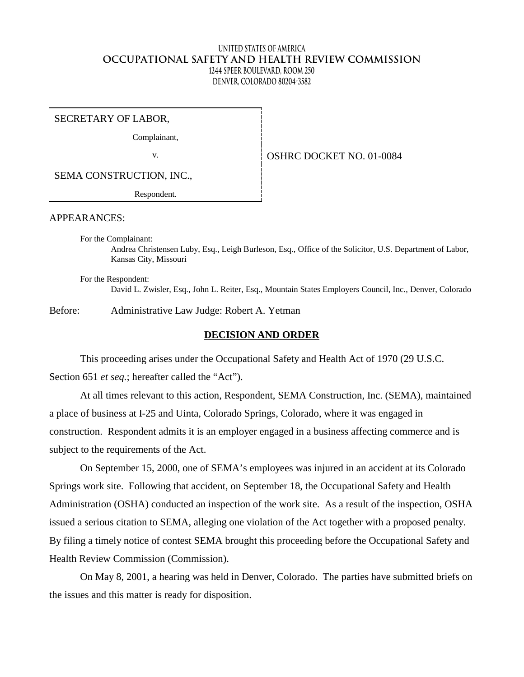# **United States of America OCCUPATIONAL SAFETY AND HEALTH REVIEW COMMISSION 1244 Speer Boulevard, Room 250 Denver, Colorado 80204-3582**

SECRETARY OF LABOR,

Complainant,

v. Same COSHRC DOCKET NO. 01-0084

SEMA CONSTRUCTION, INC.,

Respondent.

APPEARANCES:

For the Complainant: Andrea Christensen Luby, Esq., Leigh Burleson, Esq., Office of the Solicitor, U.S. Department of Labor, Kansas City, Missouri

For the Respondent: David L. Zwisler, Esq., John L. Reiter, Esq., Mountain States Employers Council, Inc., Denver, Colorado

Before: Administrative Law Judge: Robert A. Yetman

## **DECISION AND ORDER**

This proceeding arises under the Occupational Safety and Health Act of 1970 (29 U.S.C. Section 651 *et seq.*; hereafter called the "Act").

At all times relevant to this action, Respondent, SEMA Construction, Inc. (SEMA), maintained a place of business at I-25 and Uinta, Colorado Springs, Colorado, where it was engaged in construction. Respondent admits it is an employer engaged in a business affecting commerce and is subject to the requirements of the Act.

On September 15, 2000, one of SEMA's employees was injured in an accident at its Colorado Springs work site. Following that accident, on September 18, the Occupational Safety and Health Administration (OSHA) conducted an inspection of the work site. As a result of the inspection, OSHA issued a serious citation to SEMA, alleging one violation of the Act together with a proposed penalty. By filing a timely notice of contest SEMA brought this proceeding before the Occupational Safety and Health Review Commission (Commission).

On May 8, 2001, a hearing was held in Denver, Colorado. The parties have submitted briefs on the issues and this matter is ready for disposition.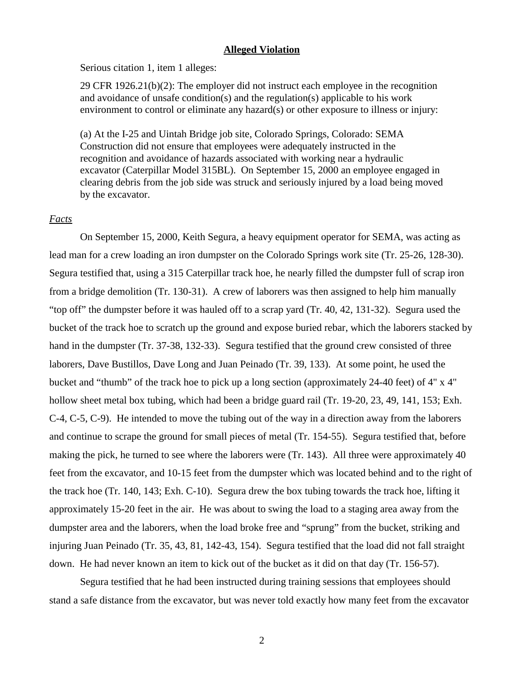#### **Alleged Violation**

Serious citation 1, item 1 alleges:

29 CFR  $1926.21(b)(2)$ : The employer did not instruct each employee in the recognition and avoidance of unsafe condition(s) and the regulation(s) applicable to his work environment to control or eliminate any hazard(s) or other exposure to illness or injury:

(a) At the I-25 and Uintah Bridge job site, Colorado Springs, Colorado: SEMA Construction did not ensure that employees were adequately instructed in the recognition and avoidance of hazards associated with working near a hydraulic excavator (Caterpillar Model 315BL). On September 15, 2000 an employee engaged in clearing debris from the job side was struck and seriously injured by a load being moved by the excavator.

### *Facts*

On September 15, 2000, Keith Segura, a heavy equipment operator for SEMA, was acting as lead man for a crew loading an iron dumpster on the Colorado Springs work site (Tr. 25-26, 128-30). Segura testified that, using a 315 Caterpillar track hoe, he nearly filled the dumpster full of scrap iron from a bridge demolition (Tr. 130-31). A crew of laborers was then assigned to help him manually "top off" the dumpster before it was hauled off to a scrap yard (Tr. 40, 42, 131-32). Segura used the bucket of the track hoe to scratch up the ground and expose buried rebar, which the laborers stacked by hand in the dumpster (Tr. 37-38, 132-33). Segura testified that the ground crew consisted of three laborers, Dave Bustillos, Dave Long and Juan Peinado (Tr. 39, 133). At some point, he used the bucket and "thumb" of the track hoe to pick up a long section (approximately 24-40 feet) of 4" x 4" hollow sheet metal box tubing, which had been a bridge guard rail (Tr. 19-20, 23, 49, 141, 153; Exh. C-4, C-5, C-9). He intended to move the tubing out of the way in a direction away from the laborers and continue to scrape the ground for small pieces of metal (Tr. 154-55). Segura testified that, before making the pick, he turned to see where the laborers were (Tr. 143). All three were approximately 40 feet from the excavator, and 10-15 feet from the dumpster which was located behind and to the right of the track hoe (Tr. 140, 143; Exh. C-10). Segura drew the box tubing towards the track hoe, lifting it approximately 15-20 feet in the air. He was about to swing the load to a staging area away from the dumpster area and the laborers, when the load broke free and "sprung" from the bucket, striking and injuring Juan Peinado (Tr. 35, 43, 81, 142-43, 154). Segura testified that the load did not fall straight down. He had never known an item to kick out of the bucket as it did on that day (Tr. 156-57).

Segura testified that he had been instructed during training sessions that employees should stand a safe distance from the excavator, but was never told exactly how many feet from the excavator

2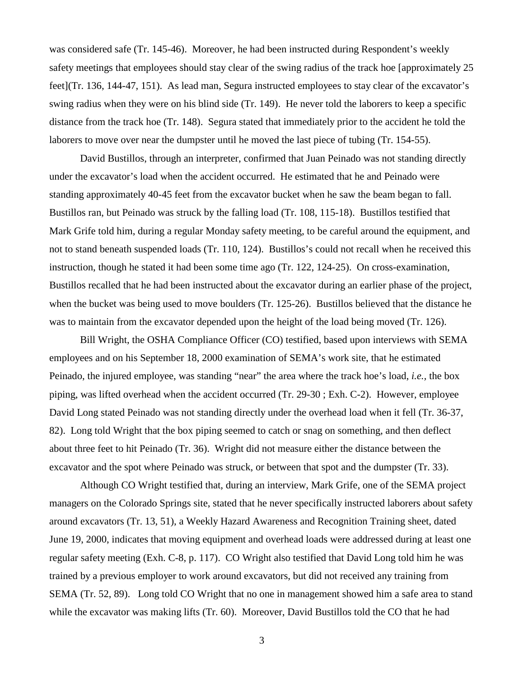was considered safe (Tr. 145-46). Moreover, he had been instructed during Respondent's weekly safety meetings that employees should stay clear of the swing radius of the track hoe [approximately 25 feet](Tr. 136, 144-47, 151). As lead man, Segura instructed employees to stay clear of the excavator's swing radius when they were on his blind side (Tr. 149). He never told the laborers to keep a specific distance from the track hoe (Tr. 148). Segura stated that immediately prior to the accident he told the laborers to move over near the dumpster until he moved the last piece of tubing (Tr. 154-55).

David Bustillos, through an interpreter, confirmed that Juan Peinado was not standing directly under the excavator's load when the accident occurred. He estimated that he and Peinado were standing approximately 40-45 feet from the excavator bucket when he saw the beam began to fall. Bustillos ran, but Peinado was struck by the falling load (Tr. 108, 115-18). Bustillos testified that Mark Grife told him, during a regular Monday safety meeting, to be careful around the equipment, and not to stand beneath suspended loads (Tr. 110, 124). Bustillos's could not recall when he received this instruction, though he stated it had been some time ago (Tr. 122, 124-25). On cross-examination, Bustillos recalled that he had been instructed about the excavator during an earlier phase of the project, when the bucket was being used to move boulders (Tr. 125-26). Bustillos believed that the distance he was to maintain from the excavator depended upon the height of the load being moved (Tr. 126).

Bill Wright, the OSHA Compliance Officer (CO) testified, based upon interviews with SEMA employees and on his September 18, 2000 examination of SEMA's work site, that he estimated Peinado, the injured employee, was standing "near" the area where the track hoe's load, *i.e.,* the box piping, was lifted overhead when the accident occurred (Tr. 29-30 ; Exh. C-2). However, employee David Long stated Peinado was not standing directly under the overhead load when it fell (Tr. 36-37, 82). Long told Wright that the box piping seemed to catch or snag on something, and then deflect about three feet to hit Peinado (Tr. 36). Wright did not measure either the distance between the excavator and the spot where Peinado was struck, or between that spot and the dumpster (Tr. 33).

Although CO Wright testified that, during an interview, Mark Grife, one of the SEMA project managers on the Colorado Springs site, stated that he never specifically instructed laborers about safety around excavators (Tr. 13, 51), a Weekly Hazard Awareness and Recognition Training sheet, dated June 19, 2000, indicates that moving equipment and overhead loads were addressed during at least one regular safety meeting (Exh. C-8, p. 117). CO Wright also testified that David Long told him he was trained by a previous employer to work around excavators, but did not received any training from SEMA (Tr. 52, 89). Long told CO Wright that no one in management showed him a safe area to stand while the excavator was making lifts (Tr. 60). Moreover, David Bustillos told the CO that he had

3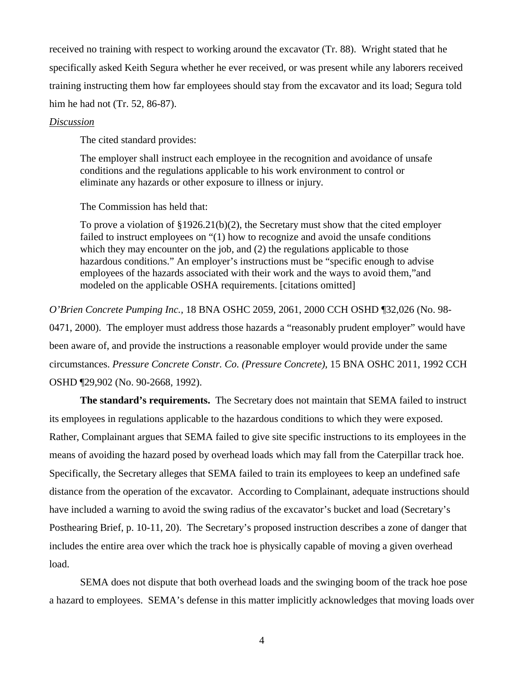received no training with respect to working around the excavator (Tr. 88). Wright stated that he specifically asked Keith Segura whether he ever received, or was present while any laborers received training instructing them how far employees should stay from the excavator and its load; Segura told him he had not (Tr. 52, 86-87).

## *Discussion*

The cited standard provides:

The employer shall instruct each employee in the recognition and avoidance of unsafe conditions and the regulations applicable to his work environment to control or eliminate any hazards or other exposure to illness or injury.

The Commission has held that:

To prove a violation of §1926.21(b)(2), the Secretary must show that the cited employer failed to instruct employees on "(1) how to recognize and avoid the unsafe conditions which they may encounter on the job, and (2) the regulations applicable to those hazardous conditions." An employer's instructions must be "specific enough to advise employees of the hazards associated with their work and the ways to avoid them,"and modeled on the applicable OSHA requirements. [citations omitted]

*O'Brien Concrete Pumping Inc.,* 18 BNA OSHC 2059, 2061, 2000 CCH OSHD ¶32,026 (No. 98- 0471, 2000). The employer must address those hazards a "reasonably prudent employer" would have been aware of, and provide the instructions a reasonable employer would provide under the same circumstances. *Pressure Concrete Constr. Co. (Pressure Concrete)*, 15 BNA OSHC 2011, 1992 CCH OSHD ¶29,902 (No. 90-2668, 1992).

**The standard's requirements.** The Secretary does not maintain that SEMA failed to instruct its employees in regulations applicable to the hazardous conditions to which they were exposed. Rather, Complainant argues that SEMA failed to give site specific instructions to its employees in the means of avoiding the hazard posed by overhead loads which may fall from the Caterpillar track hoe. Specifically, the Secretary alleges that SEMA failed to train its employees to keep an undefined safe distance from the operation of the excavator. According to Complainant, adequate instructions should have included a warning to avoid the swing radius of the excavator's bucket and load (Secretary's Posthearing Brief, p. 10-11, 20). The Secretary's proposed instruction describes a zone of danger that includes the entire area over which the track hoe is physically capable of moving a given overhead load.

SEMA does not dispute that both overhead loads and the swinging boom of the track hoe pose a hazard to employees. SEMA's defense in this matter implicitly acknowledges that moving loads over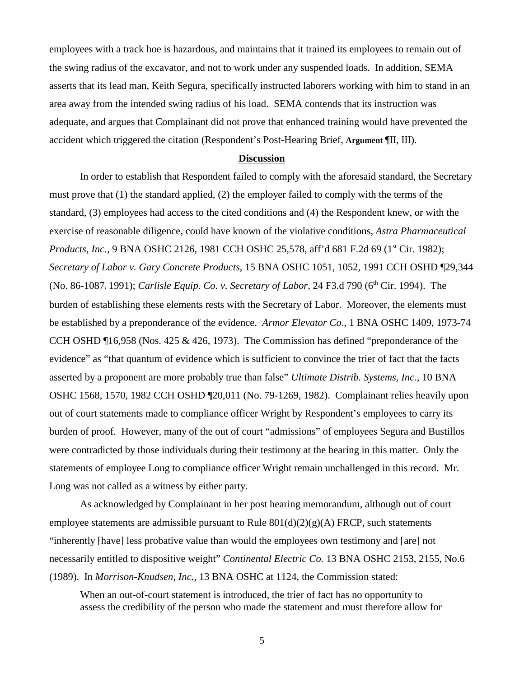employees with a track hoe is hazardous, and maintains that it trained its employees to remain out of the swing radius of the excavator, and not to work under any suspended loads. In addition, SEMA asserts that its lead man, Keith Segura, specifically instructed laborers working with him to stand in an area away from the intended swing radius of his load. SEMA contends that its instruction was adequate, and argues that Complainant did not prove that enhanced training would have prevented the accident which triggered the citation (Respondent's Post-Hearing Brief, **Argument** ¶II, III).

#### **Discussion**

In order to establish that Respondent failed to comply with the aforesaid standard, the Secretary must prove that (1) the standard applied, (2) the employer failed to comply with the terms of the standard, (3) employees had access to the cited conditions and (4) the Respondent knew, or with the exercise of reasonable diligence, could have known of the violative conditions, *Astra Pharmaceutical Products, Inc.,* 9 BNA OSHC 2126, 1981 CCH OSHC 25,578, aff'd 681 F.2d 69 (1<sup>st</sup> Cir. 1982); *Secretary of Labor v. Gary Concrete Products*, 15 BNA OSHC 1051, 1052, 1991 CCH OSHD ¶29,344 (No. 86-1087**,** 1991); *Carlisle Equip. Co. v. Secretary of Labor,* 24 F3.d 790 (6th Cir. 1994). The burden of establishing these elements rests with the Secretary of Labor. Moreover, the elements must be established by a preponderance of the evidence. *Armor Elevator Co*., 1 BNA OSHC 1409, 1973-74 CCH OSHD ¶16,958 (Nos. 425 & 426, 1973). The Commission has defined "preponderance of the evidence" as "that quantum of evidence which is sufficient to convince the trier of fact that the facts asserted by a proponent are more probably true than false" *Ultimate Distrib. Systems, Inc.,* 10 BNA OSHC 1568, 1570, 1982 CCH OSHD ¶20,011 (No. 79-1269, 1982). Complainant relies heavily upon out of court statements made to compliance officer Wright by Respondent's employees to carry its burden of proof. However, many of the out of court "admissions" of employees Segura and Bustillos were contradicted by those individuals during their testimony at the hearing in this matter. Only the statements of employee Long to compliance officer Wright remain unchallenged in this record. Mr. Long was not called as a witness by either party.

As acknowledged by Complainant in her post hearing memorandum, although out of court employee statements are admissible pursuant to Rule  $801(d)(2)(g)(A)$  FRCP, such statements "inherently [have] less probative value than would the employees own testimony and [are] not necessarily entitled to dispositive weight" *Continental Electric Co.* 13 BNA OSHC 2153, 2155, No.6 (1989). In *Morrison-Knudsen, Inc.,* 13 BNA OSHC at 1124, the Commission stated:

When an out-of-court statement is introduced, the trier of fact has no opportunity to assess the credibility of the person who made the statement and must therefore allow for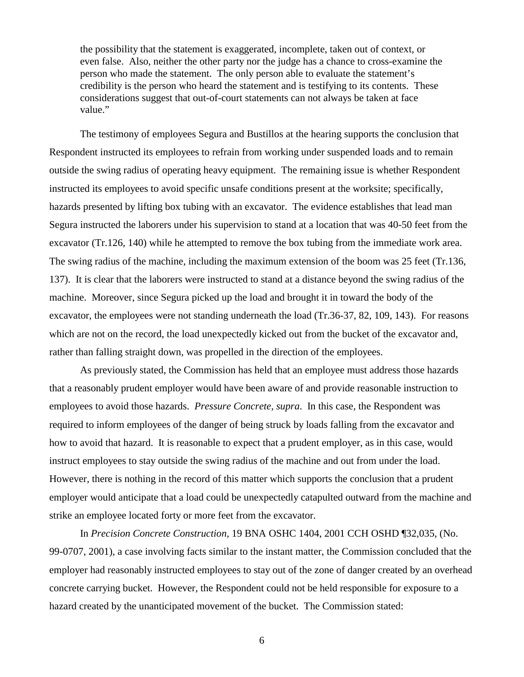the possibility that the statement is exaggerated, incomplete, taken out of context, or even false. Also, neither the other party nor the judge has a chance to cross-examine the person who made the statement. The only person able to evaluate the statement's credibility is the person who heard the statement and is testifying to its contents. These considerations suggest that out-of-court statements can not always be taken at face value."

The testimony of employees Segura and Bustillos at the hearing supports the conclusion that Respondent instructed its employees to refrain from working under suspended loads and to remain outside the swing radius of operating heavy equipment. The remaining issue is whether Respondent instructed its employees to avoid specific unsafe conditions present at the worksite; specifically, hazards presented by lifting box tubing with an excavator. The evidence establishes that lead man Segura instructed the laborers under his supervision to stand at a location that was 40-50 feet from the excavator (Tr.126, 140) while he attempted to remove the box tubing from the immediate work area. The swing radius of the machine, including the maximum extension of the boom was 25 feet (Tr.136, 137). It is clear that the laborers were instructed to stand at a distance beyond the swing radius of the machine. Moreover, since Segura picked up the load and brought it in toward the body of the excavator, the employees were not standing underneath the load (Tr.36-37, 82, 109, 143). For reasons which are not on the record, the load unexpectedly kicked out from the bucket of the excavator and, rather than falling straight down, was propelled in the direction of the employees.

As previously stated, the Commission has held that an employee must address those hazards that a reasonably prudent employer would have been aware of and provide reasonable instruction to employees to avoid those hazards. *Pressure Concrete, supra*. In this case, the Respondent was required to inform employees of the danger of being struck by loads falling from the excavator and how to avoid that hazard. It is reasonable to expect that a prudent employer, as in this case, would instruct employees to stay outside the swing radius of the machine and out from under the load. However, there is nothing in the record of this matter which supports the conclusion that a prudent employer would anticipate that a load could be unexpectedly catapulted outward from the machine and strike an employee located forty or more feet from the excavator.

In *Precision Concrete Construction,* 19 BNA OSHC 1404, 2001 CCH OSHD ¶32,035, (No. 99-0707, 2001), a case involving facts similar to the instant matter, the Commission concluded that the employer had reasonably instructed employees to stay out of the zone of danger created by an overhead concrete carrying bucket. However, the Respondent could not be held responsible for exposure to a hazard created by the unanticipated movement of the bucket. The Commission stated:

6